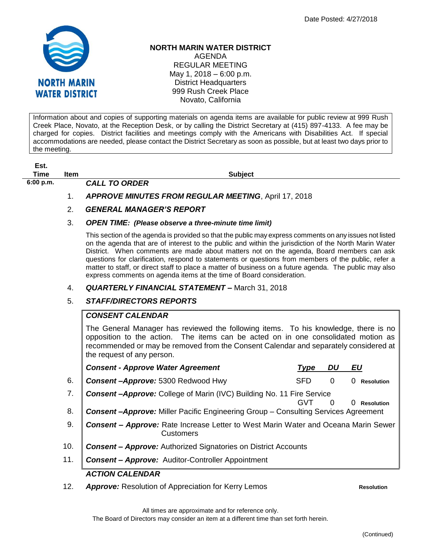

**Est.**

## **NORTH MARIN WATER DISTRICT**

AGENDA REGULAR MEETING May 1, 2018 – 6:00 p.m. District Headquarters 999 Rush Creek Place Novato, California

Information about and copies of supporting materials on agenda items are available for public review at 999 Rush Creek Place, Novato, at the Reception Desk, or by calling the District Secretary at (415) 897-4133. A fee may be charged for copies. District facilities and meetings comply with the Americans with Disabilities Act. If special accommodations are needed, please contact the District Secretary as soon as possible, but at least two days prior to the meeting.

| EST.      |             |                                                                                                                                                                                                                                                                                                                                                                                                                                                                                                                                                                                                      |
|-----------|-------------|------------------------------------------------------------------------------------------------------------------------------------------------------------------------------------------------------------------------------------------------------------------------------------------------------------------------------------------------------------------------------------------------------------------------------------------------------------------------------------------------------------------------------------------------------------------------------------------------------|
| Time      | <b>Item</b> | <b>Subject</b>                                                                                                                                                                                                                                                                                                                                                                                                                                                                                                                                                                                       |
| 6:00 p.m. |             | <b>CALL TO ORDER</b>                                                                                                                                                                                                                                                                                                                                                                                                                                                                                                                                                                                 |
|           | 1.          | <b>APPROVE MINUTES FROM REGULAR MEETING, April 17, 2018</b>                                                                                                                                                                                                                                                                                                                                                                                                                                                                                                                                          |
|           | 2.          | <b>GENERAL MANAGER'S REPORT</b>                                                                                                                                                                                                                                                                                                                                                                                                                                                                                                                                                                      |
|           | 3.          | <b>OPEN TIME:</b> (Please observe a three-minute time limit)                                                                                                                                                                                                                                                                                                                                                                                                                                                                                                                                         |
|           |             | This section of the agenda is provided so that the public may express comments on any issues not listed<br>on the agenda that are of interest to the public and within the jurisdiction of the North Marin Water<br>District. When comments are made about matters not on the agenda, Board members can ask<br>questions for clarification, respond to statements or questions from members of the public, refer a<br>matter to staff, or direct staff to place a matter of business on a future agenda. The public may also<br>express comments on agenda items at the time of Board consideration. |
|           | 4.          | <b>QUARTERLY FINANCIAL STATEMENT - March 31, 2018</b>                                                                                                                                                                                                                                                                                                                                                                                                                                                                                                                                                |

## 5. *STAFF/DIRECTORS REPORTS*

## *CONSENT CALENDAR*

The General Manager has reviewed the following items. To his knowledge, there is no opposition to the action. The items can be acted on in one consolidated motion as recommended or may be removed from the Consent Calendar and separately considered at the request of any person.

|     | <b>Consent - Approve Water Agreement</b>                                                               | <b>Type</b> | DU       | EU                     |  |  |  |  |
|-----|--------------------------------------------------------------------------------------------------------|-------------|----------|------------------------|--|--|--|--|
| 6.  | Consent-Approve: 5300 Redwood Hwy                                                                      | <b>SFD</b>  | $\Omega$ | 0<br><b>Resolution</b> |  |  |  |  |
| 7.  | Consent-Approve: College of Marin (IVC) Building No. 11 Fire Service                                   |             |          | <b>Resolution</b>      |  |  |  |  |
| 8.  | <b>Consent-Approve:</b> Miller Pacific Engineering Group - Consulting Services Agreement               |             |          |                        |  |  |  |  |
| 9.  | Consent - Approve: Rate Increase Letter to West Marin Water and Oceana Marin Sewer<br><b>Customers</b> |             |          |                        |  |  |  |  |
| 10. | <b>Consent - Approve:</b> Authorized Signatories on District Accounts                                  |             |          |                        |  |  |  |  |
| 11. | <b>Consent - Approve:</b> Auditor-Controller Appointment                                               |             |          |                        |  |  |  |  |
|     | <b>ACTION CALENDAR</b>                                                                                 |             |          |                        |  |  |  |  |

12. *Approve:* Resolution of Appreciation for Kerry Lemos **Resolution**

All times are approximate and for reference only.

The Board of Directors may consider an item at a different time than set forth herein.